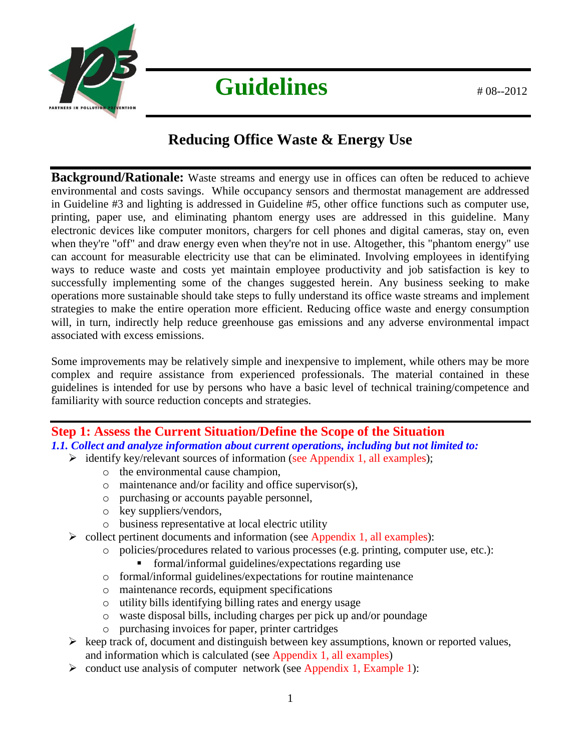

# Guidelines  $408-2012$

# **Reducing Office Waste & Energy Use**

**Background/Rationale:** Waste streams and energy use in offices can often be reduced to achieve environmental and costs savings. While occupancy sensors and thermostat management are addressed in Guideline #3 and lighting is addressed in Guideline #5, other office functions such as computer use, printing, paper use, and eliminating phantom energy uses are addressed in this guideline. Many electronic devices like computer monitors, chargers for cell phones and digital cameras, stay on, even when they're "off" and draw energy even when they're not in use. Altogether, this "phantom energy" use can account for measurable electricity use that can be eliminated. Involving employees in identifying ways to reduce waste and costs yet maintain employee productivity and job satisfaction is key to successfully implementing some of the changes suggested herein. Any business seeking to make operations more sustainable should take steps to fully understand its office waste streams and implement strategies to make the entire operation more efficient. Reducing office waste and energy consumption will, in turn, indirectly help reduce greenhouse gas emissions and any adverse environmental impact associated with excess emissions.

Some improvements may be relatively simple and inexpensive to implement, while others may be more complex and require assistance from experienced professionals. The material contained in these guidelines is intended for use by persons who have a basic level of technical training/competence and familiarity with source reduction concepts and strategies.

## **Step 1: Assess the Current Situation/Define the Scope of the Situation** *1.1. Collect and analyze information about current operations, including but not limited to:*

- $\triangleright$  identify key/relevant sources of information (see Appendix 1, all examples);
	- o the environmental cause champion,
	- o maintenance and/or facility and office supervisor(s),
	- o purchasing or accounts payable personnel,
	- o key suppliers/vendors,
	- o business representative at local electric utility
- $\triangleright$  collect pertinent documents and information (see Appendix 1, all examples):
	- o policies/procedures related to various processes (e.g. printing, computer use, etc.):
		- formal/informal guidelines/expectations regarding use
	- o formal/informal guidelines/expectations for routine maintenance
	- o maintenance records, equipment specifications
	- o utility bills identifying billing rates and energy usage
	- o waste disposal bills, including charges per pick up and/or poundage
	- o purchasing invoices for paper, printer cartridges
- $\triangleright$  keep track of, document and distinguish between key assumptions, known or reported values, and information which is calculated (see Appendix 1, all examples)
- $\triangleright$  conduct use analysis of computer network (see Appendix 1, Example 1):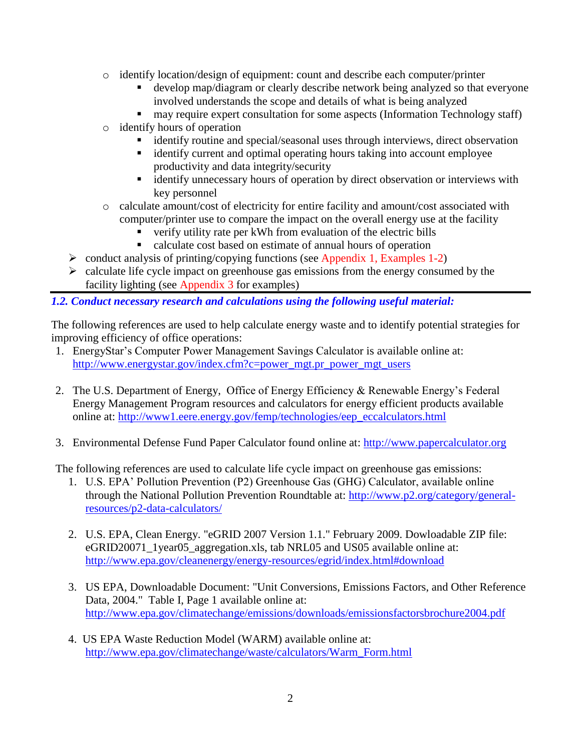- o identify location/design of equipment: count and describe each computer/printer
	- develop map/diagram or clearly describe network being analyzed so that everyone involved understands the scope and details of what is being analyzed
	- **narkt** may require expert consultation for some aspects (Information Technology staff)
- o identify hours of operation
	- identify routine and special/seasonal uses through interviews, direct observation
	- identify current and optimal operating hours taking into account employee productivity and data integrity/security
	- identify unnecessary hours of operation by direct observation or interviews with key personnel
- o calculate amount/cost of electricity for entire facility and amount/cost associated with computer/printer use to compare the impact on the overall energy use at the facility
	- verify utility rate per kWh from evaluation of the electric bills
	- calculate cost based on estimate of annual hours of operation
- $\triangleright$  conduct analysis of printing/copying functions (see Appendix 1, Examples 1-2)
- $\triangleright$  calculate life cycle impact on greenhouse gas emissions from the energy consumed by the facility lighting (see Appendix 3 for examples)

*1.2. Conduct necessary research and calculations using the following useful material:*

The following references are used to help calculate energy waste and to identify potential strategies for improving efficiency of office operations:

- 1. EnergyStar's Computer Power Management Savings Calculator is available online at: [http://www.energystar.gov/index.cfm?c=power\\_mgt.pr\\_power\\_mgt\\_users](http://www.energystar.gov/index.cfm?c=power_mgt.pr_power_mgt_users)
- 2. The U.S. Department of Energy, Office of Energy Efficiency & Renewable Energy's Federal Energy Management Program resources and calculators for energy efficient products available online at: [http://www1.eere.energy.gov/femp/technologies/eep\\_eccalculators.html](http://www1.eere.energy.gov/femp/technologies/eep_eccalculators.html)
- 3. Environmental Defense Fund Paper Calculator found online at: [http://www.papercalculator.org](http://www.papercalculator.org/)

The following references are used to calculate life cycle impact on greenhouse gas emissions:

- 1. U.S. EPA' Pollution Prevention (P2) Greenhouse Gas (GHG) Calculator, available online through the National Pollution Prevention Roundtable at: [http://www.p2.org/category/general](http://www.p2.org/category/general-resources/p2-data-calculators/)[resources/p2-data-calculators/](http://www.p2.org/category/general-resources/p2-data-calculators/)
- 2. U.S. EPA, Clean Energy. "eGRID 2007 Version 1.1." February 2009. Dowloadable ZIP file: eGRID20071\_1year05\_aggregation.xls, tab NRL05 and US05 available online at: <http://www.epa.gov/cleanenergy/energy-resources/egrid/index.html#download>
- 3. US EPA, Downloadable Document: "Unit Conversions, Emissions Factors, and Other Reference Data, 2004." Table I, Page 1 available online at: <http://www.epa.gov/climatechange/emissions/downloads/emissionsfactorsbrochure2004.pdf>
- 4. US EPA Waste Reduction Model (WARM) available online at: [http://www.epa.gov/climatechange/waste/calculators/Warm\\_Form.html](http://www.epa.gov/climatechange/waste/calculators/Warm_Form.html)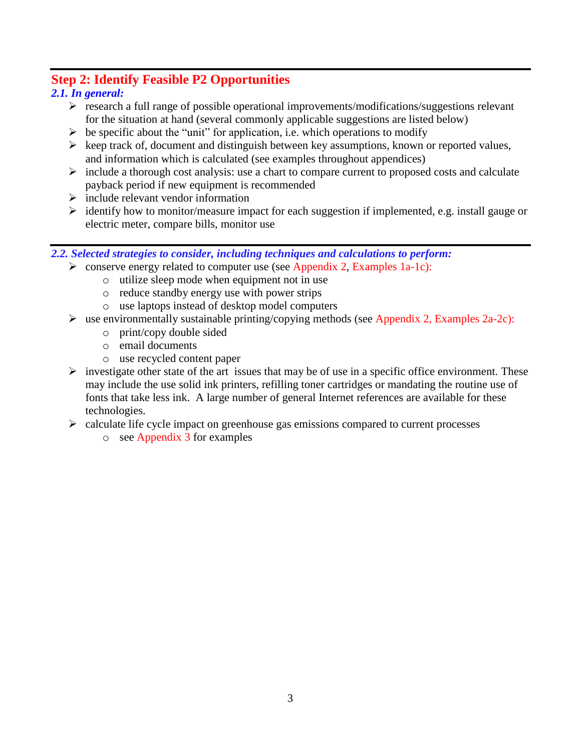# **Step 2: Identify Feasible P2 Opportunities**

# *2.1. In general:*

- $\triangleright$  research a full range of possible operational improvements/modifications/suggestions relevant for the situation at hand (several commonly applicable suggestions are listed below)
- $\triangleright$  be specific about the "unit" for application, i.e. which operations to modify
- $\triangleright$  keep track of, document and distinguish between key assumptions, known or reported values, and information which is calculated (see examples throughout appendices)
- $\triangleright$  include a thorough cost analysis: use a chart to compare current to proposed costs and calculate payback period if new equipment is recommended
- $\triangleright$  include relevant vendor information
- $\triangleright$  identify how to monitor/measure impact for each suggestion if implemented, e.g. install gauge or electric meter, compare bills, monitor use

#### *2.2. Selected strategies to consider, including techniques and calculations to perform:*

- $\triangleright$  conserve energy related to computer use (see Appendix 2, Examples 1a-1c):
	- o utilize sleep mode when equipment not in use
	- o reduce standby energy use with power strips
	- o use laptops instead of desktop model computers
- $\triangleright$  use environmentally sustainable printing/copying methods (see Appendix 2, Examples 2a-2c):
	- o print/copy double sided
	- o email documents
	- o use recycled content paper
- $\triangleright$  investigate other state of the art issues that may be of use in a specific office environment. These may include the use solid ink printers, refilling toner cartridges or mandating the routine use of fonts that take less ink. A large number of general Internet references are available for these technologies.
- $\triangleright$  calculate life cycle impact on greenhouse gas emissions compared to current processes
	- o see Appendix 3 for examples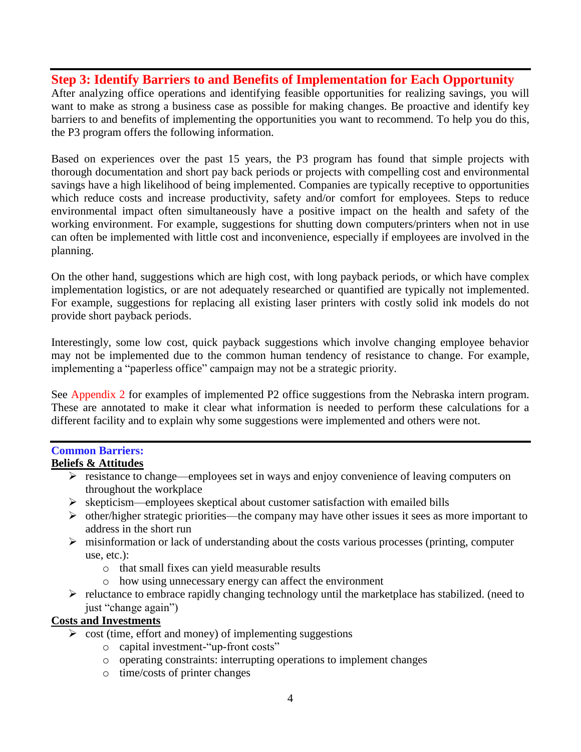# **Step 3: Identify Barriers to and Benefits of Implementation for Each Opportunity**

After analyzing office operations and identifying feasible opportunities for realizing savings, you will want to make as strong a business case as possible for making changes. Be proactive and identify key barriers to and benefits of implementing the opportunities you want to recommend. To help you do this, the P3 program offers the following information.

Based on experiences over the past 15 years, the P3 program has found that simple projects with thorough documentation and short pay back periods or projects with compelling cost and environmental savings have a high likelihood of being implemented. Companies are typically receptive to opportunities which reduce costs and increase productivity, safety and/or comfort for employees. Steps to reduce environmental impact often simultaneously have a positive impact on the health and safety of the working environment. For example, suggestions for shutting down computers/printers when not in use can often be implemented with little cost and inconvenience, especially if employees are involved in the planning.

On the other hand, suggestions which are high cost, with long payback periods, or which have complex implementation logistics, or are not adequately researched or quantified are typically not implemented. For example, suggestions for replacing all existing laser printers with costly solid ink models do not provide short payback periods.

Interestingly, some low cost, quick payback suggestions which involve changing employee behavior may not be implemented due to the common human tendency of resistance to change. For example, implementing a "paperless office" campaign may not be a strategic priority.

See Appendix 2 for examples of implemented P2 office suggestions from the Nebraska intern program. These are annotated to make it clear what information is needed to perform these calculations for a different facility and to explain why some suggestions were implemented and others were not.

# **Common Barriers:**

# **Beliefs & Attitudes**

- $\triangleright$  resistance to change—employees set in ways and enjoy convenience of leaving computers on throughout the workplace
- $\triangleright$  skepticism—employees skeptical about customer satisfaction with emailed bills
- $\triangleright$  other/higher strategic priorities—the company may have other issues it sees as more important to address in the short run
- $\triangleright$  misinformation or lack of understanding about the costs various processes (printing, computer use, etc.):
	- o that small fixes can yield measurable results
	- o how using unnecessary energy can affect the environment
- $\triangleright$  reluctance to embrace rapidly changing technology until the marketplace has stabilized. (need to just "change again")

#### **Costs and Investments**

- $\triangleright$  cost (time, effort and money) of implementing suggestions
	- o capital investment-"up-front costs"
	- o operating constraints: interrupting operations to implement changes
	- o time/costs of printer changes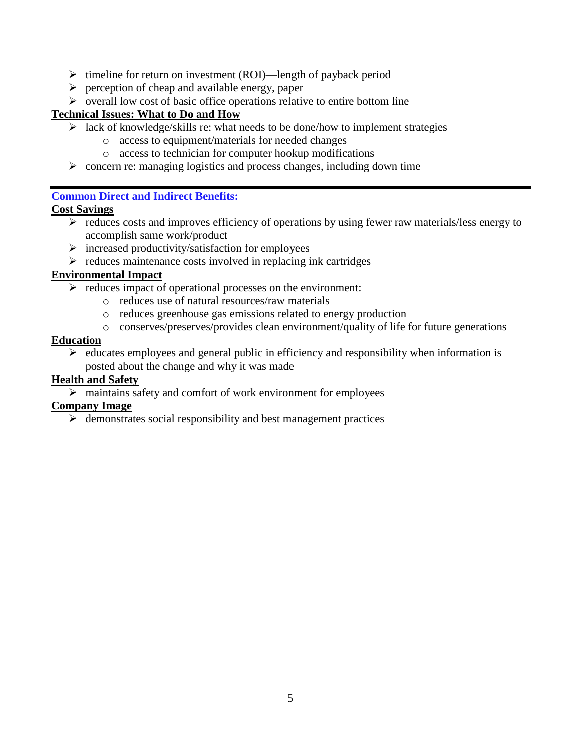- $\triangleright$  timeline for return on investment (ROI)—length of payback period
- $\triangleright$  perception of cheap and available energy, paper
- $\triangleright$  overall low cost of basic office operations relative to entire bottom line

#### **Technical Issues: What to Do and How**

- $\triangleright$  lack of knowledge/skills re: what needs to be done/how to implement strategies
	- o access to equipment/materials for needed changes
	- o access to technician for computer hookup modifications
- $\triangleright$  concern re: managing logistics and process changes, including down time

#### **Common Direct and Indirect Benefits:**

#### **Cost Savings**

- $\triangleright$  reduces costs and improves efficiency of operations by using fewer raw materials/less energy to accomplish same work/product
- $\triangleright$  increased productivity/satisfaction for employees
- $\triangleright$  reduces maintenance costs involved in replacing ink cartridges

#### **Environmental Impact**

- $\triangleright$  reduces impact of operational processes on the environment:
	- o reduces use of natural resources/raw materials
	- o reduces greenhouse gas emissions related to energy production
	- o conserves/preserves/provides clean environment/quality of life for future generations

#### **Education**

 $\triangleright$  educates employees and general public in efficiency and responsibility when information is posted about the change and why it was made

#### **Health and Safety**

 $\triangleright$  maintains safety and comfort of work environment for employees

#### **Company Image**

 $\triangleright$  demonstrates social responsibility and best management practices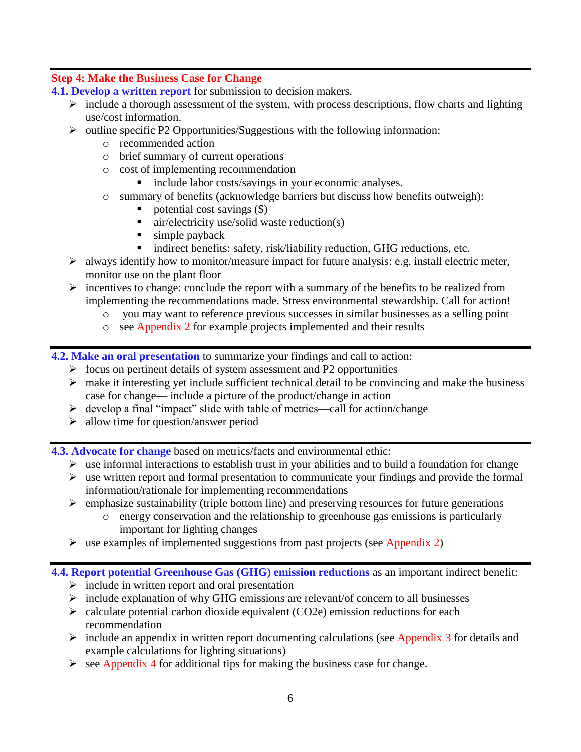# **Step 4: Make the Business Case for Change**

**4.1. Develop a written report** for submission to decision makers.

- $\triangleright$  include a thorough assessment of the system, with process descriptions, flow charts and lighting use/cost information.
- $\triangleright$  outline specific P2 Opportunities/Suggestions with the following information:
	- o recommended action
	- o brief summary of current operations
	- o cost of implementing recommendation
		- **include labor costs/savings in your economic analyses.**
	- o summary of benefits (acknowledge barriers but discuss how benefits outweigh):
		- potential cost savings (\$)
		- $\blacksquare$  air/electricity use/solid waste reduction(s)
		- $\blacksquare$  simple payback
		- **indirect benefits: safety, risk/liability reduction, GHG reductions, etc.**
- $\triangleright$  always identify how to monitor/measure impact for future analysis: e.g. install electric meter, monitor use on the plant floor
- $\triangleright$  incentives to change: conclude the report with a summary of the benefits to be realized from implementing the recommendations made. Stress environmental stewardship. Call for action!
	- o you may want to reference previous successes in similar businesses as a selling point
	- o see Appendix 2 for example projects implemented and their results

**4.2. Make an oral presentation** to summarize your findings and call to action:

- $\triangleright$  focus on pertinent details of system assessment and P2 opportunities
- $\triangleright$  make it interesting yet include sufficient technical detail to be convincing and make the business case for change— include a picture of the product/change in action
- $\triangleright$  develop a final "impact" slide with table of metrics—call for action/change
- $\triangleright$  allow time for question/answer period

**4.3. Advocate for change** based on metrics/facts and environmental ethic:

- $\triangleright$  use informal interactions to establish trust in your abilities and to build a foundation for change
- $\triangleright$  use written report and formal presentation to communicate your findings and provide the formal information/rationale for implementing recommendations
- $\triangleright$  emphasize sustainability (triple bottom line) and preserving resources for future generations
	- o energy conservation and the relationship to greenhouse gas emissions is particularly important for lighting changes
- $\triangleright$  use examples of implemented suggestions from past projects (see Appendix 2)

## **4.4. Report potential Greenhouse Gas (GHG) emission reductions** as an important indirect benefit:

- $\triangleright$  include in written report and oral presentation
- $\triangleright$  include explanation of why GHG emissions are relevant/of concern to all businesses
- $\geq$  calculate potential carbon dioxide equivalent (CO2e) emission reductions for each recommendation
- $\triangleright$  include an appendix in written report documenting calculations (see Appendix 3 for details and example calculations for lighting situations)
- $\triangleright$  see Appendix 4 for additional tips for making the business case for change.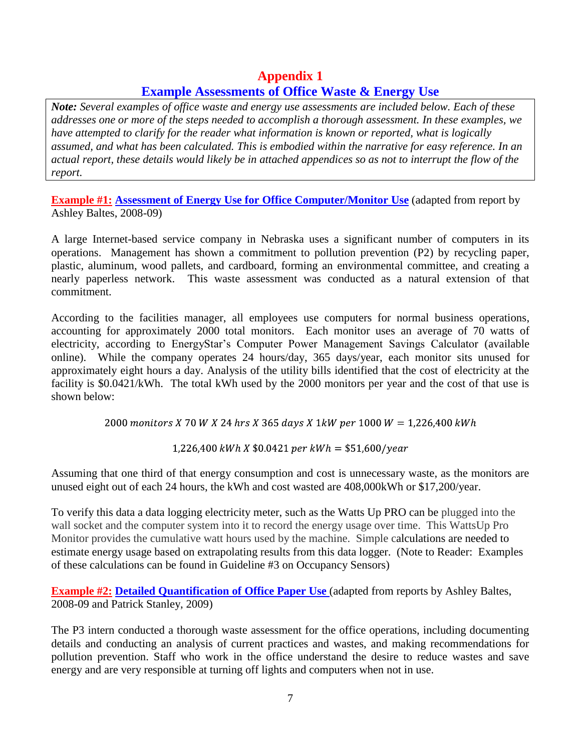# **Appendix 1 Example Assessments of Office Waste & Energy Use**

*Note: Several examples of office waste and energy use assessments are included below. Each of these addresses one or more of the steps needed to accomplish a thorough assessment. In these examples, we have attempted to clarify for the reader what information is known or reported, what is logically assumed, and what has been calculated. This is embodied within the narrative for easy reference. In an actual report, these details would likely be in attached appendices so as not to interrupt the flow of the report.*

**Example #1: Assessment of Energy Use for Office Computer/Monitor Use** (adapted from report by Ashley Baltes, 2008-09)

A large Internet-based service company in Nebraska uses a significant number of computers in its operations. Management has shown a commitment to pollution prevention (P2) by recycling paper, plastic, aluminum, wood pallets, and cardboard, forming an environmental committee, and creating a nearly paperless network. This waste assessment was conducted as a natural extension of that commitment.

According to the facilities manager, all employees use computers for normal business operations, accounting for approximately 2000 total monitors. Each monitor uses an average of 70 watts of electricity, according to EnergyStar's Computer Power Management Savings Calculator (available online). While the company operates 24 hours/day, 365 days/year, each monitor sits unused for approximately eight hours a day. Analysis of the utility bills identified that the cost of electricity at the facility is \$0.0421/kWh. The total kWh used by the 2000 monitors per year and the cost of that use is shown below:

2000 monitors X 70 W X 24 hrs X 365 days X 1kW per 1000 W = 1,226,400 kWh

1,226,400 kWh X  $$0.0421$  per kWh =  $$51,600/year$ 

Assuming that one third of that energy consumption and cost is unnecessary waste, as the monitors are unused eight out of each 24 hours, the kWh and cost wasted are 408,000kWh or \$17,200/year.

To verify this data a data logging electricity meter, such as the Watts Up PRO can be plugged into the wall socket and the computer system into it to record the energy usage over time. This WattsUp Pro Monitor provides the cumulative watt hours used by the machine. Simple calculations are needed to estimate energy usage based on extrapolating results from this data logger. (Note to Reader: Examples of these calculations can be found in Guideline #3 on Occupancy Sensors)

**Example #2: Detailed Quantification of Office Paper Use** (adapted from reports by Ashley Baltes, 2008-09 and Patrick Stanley, 2009)

The P3 intern conducted a thorough waste assessment for the office operations, including documenting details and conducting an analysis of current practices and wastes, and making recommendations for pollution prevention. Staff who work in the office understand the desire to reduce wastes and save energy and are very responsible at turning off lights and computers when not in use.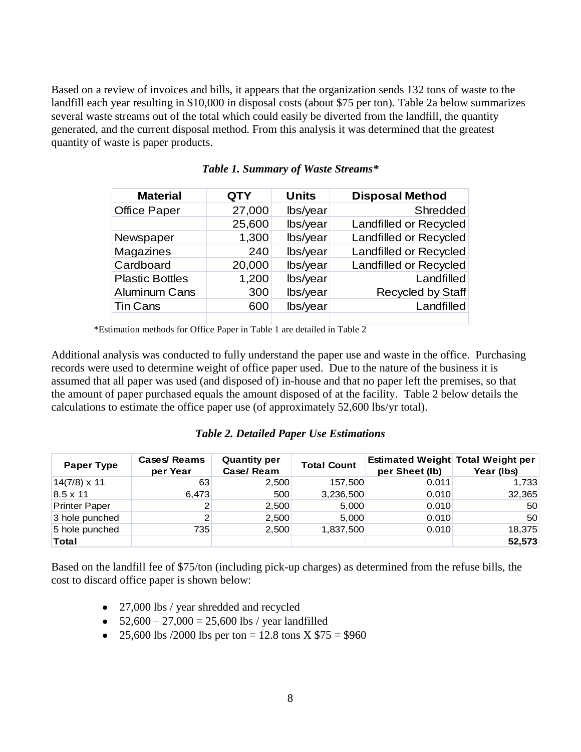Based on a review of invoices and bills, it appears that the organization sends 132 tons of waste to the landfill each year resulting in \$10,000 in disposal costs (about \$75 per ton). Table 2a below summarizes several waste streams out of the total which could easily be diverted from the landfill, the quantity generated, and the current disposal method. From this analysis it was determined that the greatest quantity of waste is paper products.

| <b>Material</b>        | <b>QTY</b> | <b>Units</b> | <b>Disposal Method</b>        |
|------------------------|------------|--------------|-------------------------------|
| <b>Office Paper</b>    | 27,000     | lbs/year     | Shredded                      |
|                        | 25,600     | lbs/year     | <b>Landfilled or Recycled</b> |
| Newspaper              | 1,300      | lbs/year     | <b>Landfilled or Recycled</b> |
| <b>Magazines</b>       | 240        | lbs/year     | Landfilled or Recycled        |
| Cardboard              | 20,000     | lbs/year     | <b>Landfilled or Recycled</b> |
| <b>Plastic Bottles</b> | 1,200      | lbs/year     | Landfilled                    |
| <b>Aluminum Cans</b>   | 300        | lbs/year     | <b>Recycled by Staff</b>      |
| <b>Tin Cans</b>        | 600        | lbs/year     | Landfilled                    |
|                        |            |              |                               |

#### *Table 1. Summary of Waste Streams\**

\*Estimation methods for Office Paper in Table 1 are detailed in Table 2

Additional analysis was conducted to fully understand the paper use and waste in the office. Purchasing records were used to determine weight of office paper used. Due to the nature of the business it is assumed that all paper was used (and disposed of) in-house and that no paper left the premises, so that the amount of paper purchased equals the amount disposed of at the facility. Table 2 below details the calculations to estimate the office paper use (of approximately 52,600 lbs/yr total).

#### *Table 2. Detailed Paper Use Estimations*

| <b>Paper Type</b>    | Cases/Reams<br>per Year | <b>Quantity per</b><br>Case/Ream | <b>Total Count</b> | per Sheet (lb) | <b>Estimated Weight Total Weight per</b><br>Year (lbs) |
|----------------------|-------------------------|----------------------------------|--------------------|----------------|--------------------------------------------------------|
| $14(7/8) \times 11$  | 63                      | 2,500                            | 157,500            | 0.011          | 1,733                                                  |
| $8.5 \times 11$      | 6,473                   | 500                              | 3,236,500          | 0.010          | 32,365                                                 |
| <b>Printer Paper</b> |                         | 2,500                            | 5,000              | 0.010          | 50                                                     |
| 3 hole punched       | 2                       | 2,500                            | 5,000              | 0.010          | 50                                                     |
| 5 hole punched       | 735                     | 2,500                            | 1,837,500          | 0.010          | 18,375                                                 |
| Total                |                         |                                  |                    |                | 52,573                                                 |

Based on the landfill fee of \$75/ton (including pick-up charges) as determined from the refuse bills, the cost to discard office paper is shown below:

- 27,000 lbs / year shredded and recycled
- $52,600 27,000 = 25,600$  lbs / year landfilled
- 25,600 lbs /2000 lbs per ton = 12.8 tons  $X $75 = $960$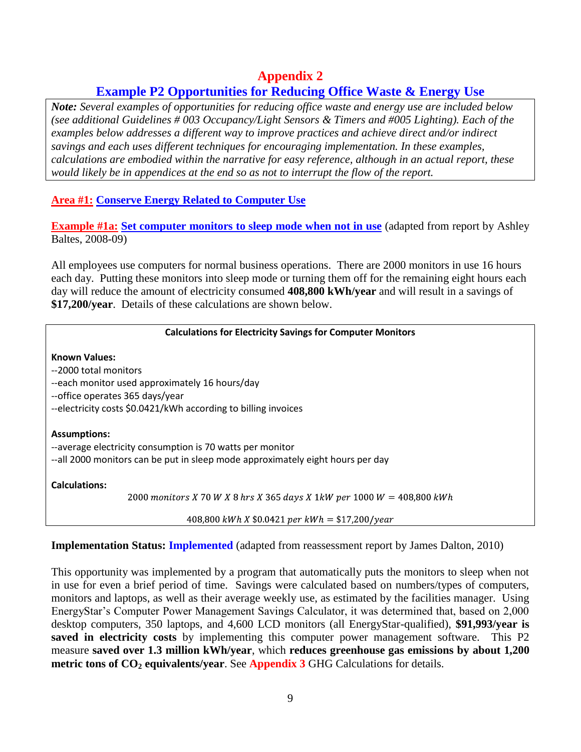# **Appendix 2**

# **Example P2 Opportunities for Reducing Office Waste & Energy Use**

*Note: Several examples of opportunities for reducing office waste and energy use are included below (see additional Guidelines # 003 Occupancy/Light Sensors & Timers and #005 Lighting). Each of the examples below addresses a different way to improve practices and achieve direct and/or indirect savings and each uses different techniques for encouraging implementation. In these examples, calculations are embodied within the narrative for easy reference, although in an actual report, these would likely be in appendices at the end so as not to interrupt the flow of the report.*

**Area #1: Conserve Energy Related to Computer Use**

**Example #1a: Set computer monitors to sleep mode when not in use** (adapted from report by Ashley Baltes, 2008-09)

All employees use computers for normal business operations. There are 2000 monitors in use 16 hours each day. Putting these monitors into sleep mode or turning them off for the remaining eight hours each day will reduce the amount of electricity consumed **408,800 kWh/year** and will result in a savings of **\$17,200/year**. Details of these calculations are shown below.

#### **Calculations for Electricity Savings for Computer Monitors**

**Known Values:** --2000 total monitors --each monitor used approximately 16 hours/day --office operates 365 days/year --electricity costs \$0.0421/kWh according to billing invoices **Assumptions:** --average electricity consumption is 70 watts per monitor --all 2000 monitors can be put in sleep mode approximately eight hours per day **Calculations:** 2000 monitors X 70 W X 8 hrs X 365 days X 1kW per 1000  $W = 408,800$  kWh

408,800 kWh X  $$0.0421$  per kWh = \$17,200/year

#### **Implementation Status: Implemented** (adapted from reassessment report by James Dalton, 2010)

This opportunity was implemented by a program that automatically puts the monitors to sleep when not in use for even a brief period of time. Savings were calculated based on numbers/types of computers, monitors and laptops, as well as their average weekly use, as estimated by the facilities manager. Using EnergyStar's Computer Power Management Savings Calculator, it was determined that, based on 2,000 desktop computers, 350 laptops, and 4,600 LCD monitors (all EnergyStar-qualified), **\$91,993/year is saved in electricity costs** by implementing this computer power management software. This P2 measure **saved over 1.3 million kWh/year**, which **reduces greenhouse gas emissions by about 1,200 metric tons of CO<sup>2</sup> equivalents/year**. See **Appendix 3** GHG Calculations for details.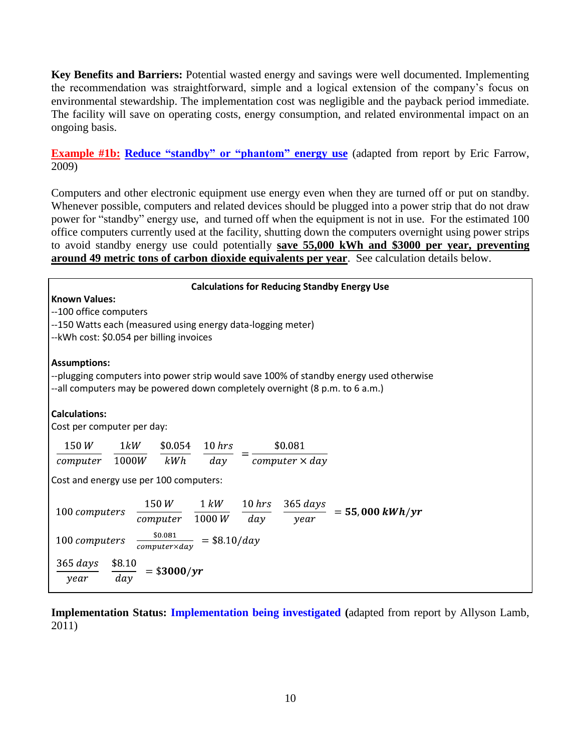**Key Benefits and Barriers:** Potential wasted energy and savings were well documented. Implementing the recommendation was straightforward, simple and a logical extension of the company's focus on environmental stewardship. The implementation cost was negligible and the payback period immediate. The facility will save on operating costs, energy consumption, and related environmental impact on an ongoing basis.

**Example #1b: Reduce "standby" or "phantom" energy use** (adapted from report by Eric Farrow, 2009)

Computers and other electronic equipment use energy even when they are turned off or put on standby. Whenever possible, computers and related devices should be plugged into a power strip that do not draw power for "standby" energy use, and turned off when the equipment is not in use. For the estimated 100 office computers currently used at the facility, shutting down the computers overnight using power strips to avoid standby energy use could potentially **save 55,000 kWh and \$3000 per year, preventing around 49 metric tons of carbon dioxide equivalents per year**. See calculation details below.

| <b>Calculations for Reducing Standby Energy Use</b>                                                                                                                                          |  |  |  |  |  |  |
|----------------------------------------------------------------------------------------------------------------------------------------------------------------------------------------------|--|--|--|--|--|--|
| <b>Known Values:</b>                                                                                                                                                                         |  |  |  |  |  |  |
| --100 office computers                                                                                                                                                                       |  |  |  |  |  |  |
| --150 Watts each (measured using energy data-logging meter)                                                                                                                                  |  |  |  |  |  |  |
| -- kWh cost: \$0.054 per billing invoices                                                                                                                                                    |  |  |  |  |  |  |
| <b>Assumptions:</b><br>--plugging computers into power strip would save 100% of standby energy used otherwise<br>--all computers may be powered down completely overnight (8 p.m. to 6 a.m.) |  |  |  |  |  |  |
| <b>Calculations:</b>                                                                                                                                                                         |  |  |  |  |  |  |
| Cost per computer per day:                                                                                                                                                                   |  |  |  |  |  |  |
| $$0.054$ 10 hrs<br>150W<br>1kW<br>\$0.081                                                                                                                                                    |  |  |  |  |  |  |
| 1000W<br>$computer \times day$<br>kWh<br>day<br>computer                                                                                                                                     |  |  |  |  |  |  |
|                                                                                                                                                                                              |  |  |  |  |  |  |
| Cost and energy use per 100 computers:                                                                                                                                                       |  |  |  |  |  |  |
| $10\, hrs$<br>150W<br>$1 \; kW$<br>365 days<br>$= 55,000 \, kWh/yr$<br>100 computers<br>$1000\,W$<br>day<br>computer<br>vear                                                                 |  |  |  |  |  |  |
| \$0.081<br>$=$ \$8.10/day<br>100 computers<br>$computer \times day$                                                                                                                          |  |  |  |  |  |  |
| $365 \, days$<br>\$8.10<br>$=$ \$3000/yr<br>day<br>year                                                                                                                                      |  |  |  |  |  |  |

**Implementation Status: Implementation being investigated (**adapted from report by Allyson Lamb, 2011)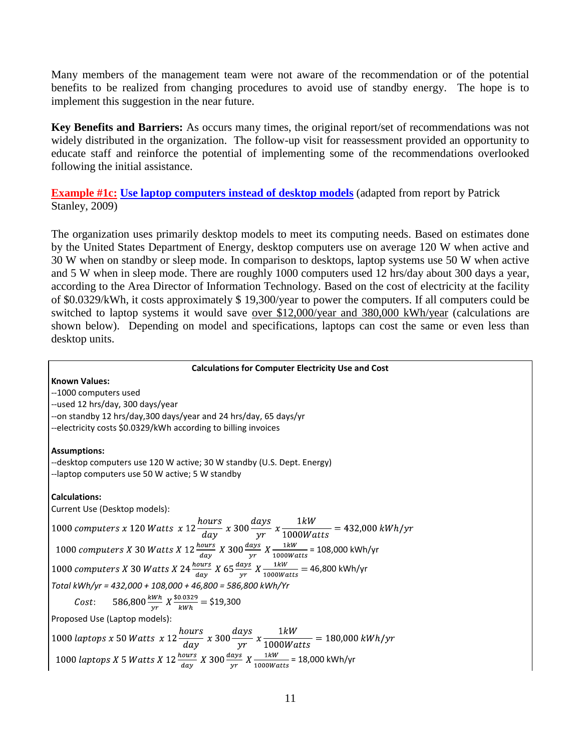Many members of the management team were not aware of the recommendation or of the potential benefits to be realized from changing procedures to avoid use of standby energy. The hope is to implement this suggestion in the near future.

**Key Benefits and Barriers:** As occurs many times, the original report/set of recommendations was not widely distributed in the organization. The follow-up visit for reassessment provided an opportunity to educate staff and reinforce the potential of implementing some of the recommendations overlooked following the initial assistance.

**Example #1c:** Use **laptop computers instead of desktop models** (adapted from report by Patrick Stanley, 2009)

The organization uses primarily desktop models to meet its computing needs. Based on estimates done by the United States Department of Energy, desktop computers use on average 120 W when active and 30 W when on standby or sleep mode. In comparison to desktops, laptop systems use 50 W when active and 5 W when in sleep mode. There are roughly 1000 computers used 12 hrs/day about 300 days a year, according to the Area Director of Information Technology. Based on the cost of electricity at the facility of \$0.0329/kWh, it costs approximately \$ 19,300/year to power the computers. If all computers could be switched to laptop systems it would save over \$12,000/year and 380,000 kWh/year (calculations are shown below). Depending on model and specifications, laptops can cost the same or even less than desktop units.

#### **Calculations for Computer Electricity Use and Cost**

**Known Values:**  --1000 computers used --used 12 hrs/day, 300 days/year --on standby 12 hrs/day,300 days/year and 24 hrs/day, 65 days/yr --electricity costs \$0.0329/kWh according to billing invoices **Assumptions:** --desktop computers use 120 W active; 30 W standby (U.S. Dept. Energy) --laptop computers use 50 W active; 5 W standby **Calculations:** Current Use (Desktop models): 1000 computers x 120 Watts x  $12 \frac{hours}{day}$  x  $300 \frac{days}{yr}$  x  $\frac{1kW}{1000Watts}$  = 432,000 kWh/yr = 108,000 kWh/yr 46,800 kWh/yr *Total kWh/yr = 432,000 + 108,000 + 46,800 = 586,800 kWh/Yr* Cost: 586,800 $\frac{kWh}{yr} X \frac{\$0.0329}{kWh} = \$19,300$ Proposed Use (Laptop models): 1000 laptops x 50 Watts x  $12 \frac{hours}{day}$  x  $300 \frac{days}{yr}$  x  $\frac{1kW}{1000Watts}$  = 180,000 kWh/yr 1000 laptops X 5 Watts X 12  $\frac{12}{day}$  X 300  $\frac{days}{yr}$  X  $\frac{1kW}{1000Watts}$  = 18,000 kWh/yr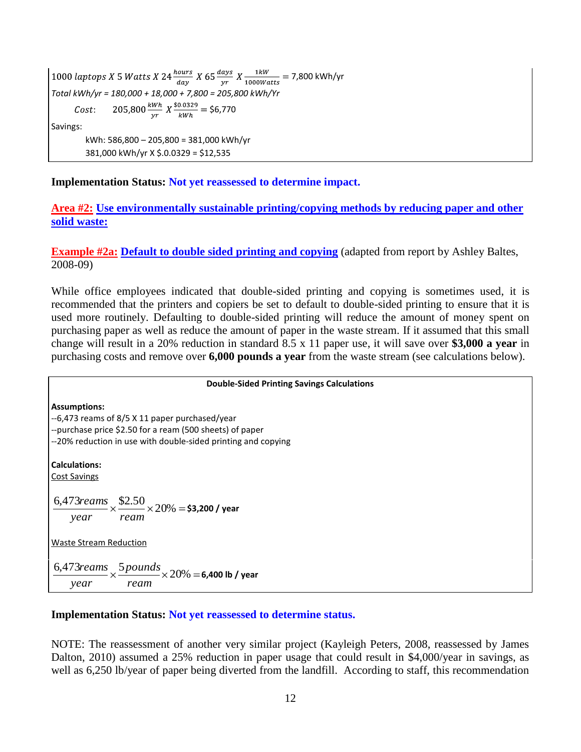1000 laptops X 5 Watts X 24  $\frac{hours}{day}$  X 65  $\frac{days}{yr}$  X  $\frac{1kW}{1000Watts}$  = 7,800 kWh/yr *Total kWh/yr = 180,000 + 18,000 + 7,800 = 205,800 kWh/Yr* 205,800 $\frac{kWh}{vr}$   $X \frac{\$0.0329}{kWh} = \$6,770$  $Cost:$ Savings: kWh: 586,800 – 205,800 = 381,000 kWh/yr 381,000 kWh/yr X \$.0.0329 = \$12,535

**Implementation Status: Not yet reassessed to determine impact.**

**Area #2: Use environmentally sustainable printing/copying methods by reducing paper and other solid waste:**

**Example #2a: Default to double sided printing and copying** (adapted from report by Ashley Baltes, 2008-09)

While office employees indicated that double-sided printing and copying is sometimes used, it is recommended that the printers and copiers be set to default to double-sided printing to ensure that it is used more routinely. Defaulting to double-sided printing will reduce the amount of money spent on purchasing paper as well as reduce the amount of paper in the waste stream. If it assumed that this small change will result in a 20% reduction in standard 8.5 x 11 paper use, it will save over **\$3,000 a year** in purchasing costs and remove over **6,000 pounds a year** from the waste stream (see calculations below).

#### **Double-Sided Printing Savings Calculations**

**Assumptions:** --6,473 reams of 8/5 X 11 paper purchased/year --purchase price \$2.50 for a ream (500 sheets) of paper --20% reduction in use with double-sided printing and copying **Calculations:** Cost Savings  $\frac{6,473 reams}{200} \times \frac{$2.50}{20\%} \times 20\%$ *year ream reams* **\$3,200 / year** Waste Stream Reduction  $\frac{6,473$  reams  $\times \frac{5}{2}$  pounds  $\times 20\%$ *ream pounds year*  $\frac{5}{\times}$   $\frac{5}{\times}$   $\frac{5}{\times}$   $\frac{20}{\times}$  = 6,400 lb / year

#### **Implementation Status: Not yet reassessed to determine status.**

NOTE: The reassessment of another very similar project (Kayleigh Peters, 2008, reassessed by James Dalton, 2010) assumed a 25% reduction in paper usage that could result in \$4,000/year in savings, as well as 6,250 lb/year of paper being diverted from the landfill. According to staff, this recommendation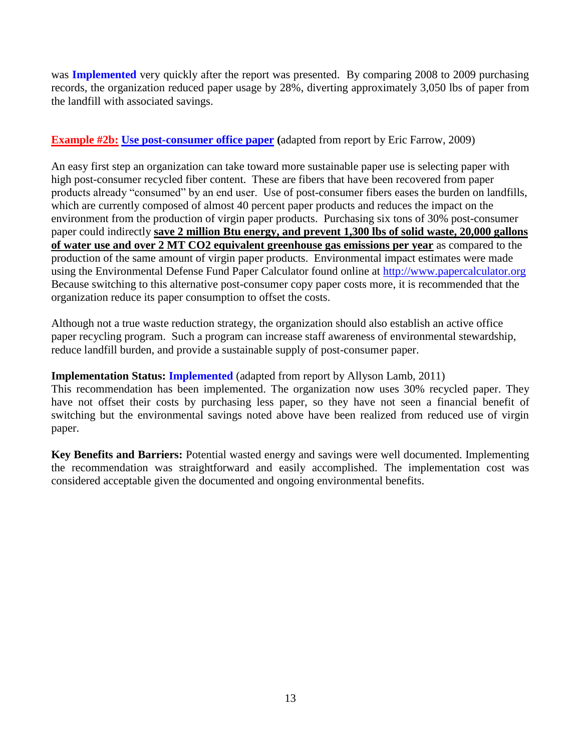was **Implemented** very quickly after the report was presented. By comparing 2008 to 2009 purchasing records, the organization reduced paper usage by 28%, diverting approximately 3,050 lbs of paper from the landfill with associated savings.

#### **Example #2b:** Use post-consumer office paper (adapted from report by Eric Farrow, 2009)

An easy first step an organization can take toward more sustainable paper use is selecting paper with high post-consumer recycled fiber content. These are fibers that have been recovered from paper products already "consumed" by an end user. Use of post-consumer fibers eases the burden on landfills, which are currently composed of almost 40 percent paper products and reduces the impact on the environment from the production of virgin paper products. Purchasing six tons of 30% post-consumer paper could indirectly **save 2 million Btu energy, and prevent 1,300 lbs of solid waste, 20,000 gallons of water use and over 2 MT CO2 equivalent greenhouse gas emissions per year** as compared to the production of the same amount of virgin paper products. Environmental impact estimates were made using the Environmental Defense Fund Paper Calculator found online at http://www.papercalculator.org Because switching to this alternative post-consumer copy paper costs more, it is recommended that the organization reduce its paper consumption to offset the costs.

Although not a true waste reduction strategy, the organization should also establish an active office paper recycling program. Such a program can increase staff awareness of environmental stewardship, reduce landfill burden, and provide a sustainable supply of post-consumer paper.

#### **Implementation Status: Implemented** (adapted from report by Allyson Lamb, 2011)

This recommendation has been implemented. The organization now uses 30% recycled paper. They have not offset their costs by purchasing less paper, so they have not seen a financial benefit of switching but the environmental savings noted above have been realized from reduced use of virgin paper.

**Key Benefits and Barriers:** Potential wasted energy and savings were well documented. Implementing the recommendation was straightforward and easily accomplished. The implementation cost was considered acceptable given the documented and ongoing environmental benefits.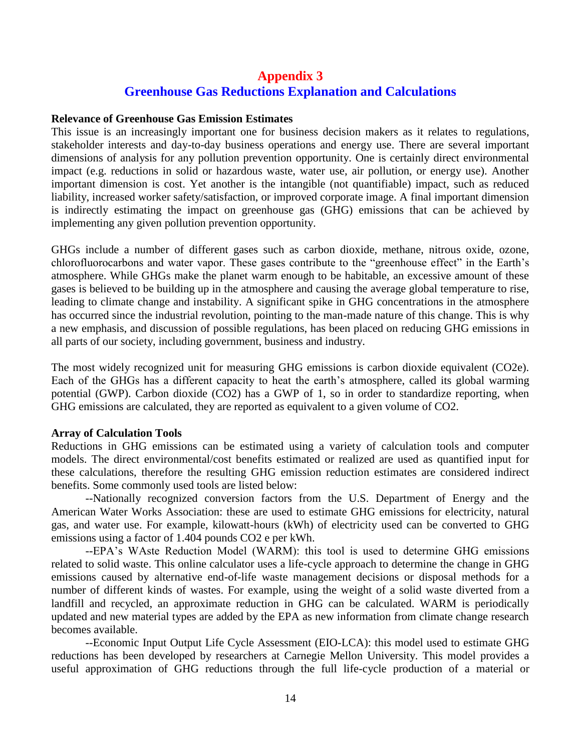# **Appendix 3 Greenhouse Gas Reductions Explanation and Calculations**

#### **Relevance of Greenhouse Gas Emission Estimates**

This issue is an increasingly important one for business decision makers as it relates to regulations, stakeholder interests and day-to-day business operations and energy use. There are several important dimensions of analysis for any pollution prevention opportunity. One is certainly direct environmental impact (e.g. reductions in solid or hazardous waste, water use, air pollution, or energy use). Another important dimension is cost. Yet another is the intangible (not quantifiable) impact, such as reduced liability, increased worker safety/satisfaction, or improved corporate image. A final important dimension is indirectly estimating the impact on greenhouse gas (GHG) emissions that can be achieved by implementing any given pollution prevention opportunity.

GHGs include a number of different gases such as carbon dioxide, methane, nitrous oxide, ozone, chlorofluorocarbons and water vapor. These gases contribute to the "greenhouse effect" in the Earth's atmosphere. While GHGs make the planet warm enough to be habitable, an excessive amount of these gases is believed to be building up in the atmosphere and causing the average global temperature to rise, leading to climate change and instability. A significant spike in GHG concentrations in the atmosphere has occurred since the industrial revolution, pointing to the man-made nature of this change. This is why a new emphasis, and discussion of possible regulations, has been placed on reducing GHG emissions in all parts of our society, including government, business and industry.

The most widely recognized unit for measuring GHG emissions is carbon dioxide equivalent (CO2e). Each of the GHGs has a different capacity to heat the earth's atmosphere, called its global warming potential (GWP). Carbon dioxide (CO2) has a GWP of 1, so in order to standardize reporting, when GHG emissions are calculated, they are reported as equivalent to a given volume of CO2.

#### **Array of Calculation Tools**

Reductions in GHG emissions can be estimated using a variety of calculation tools and computer models. The direct environmental/cost benefits estimated or realized are used as quantified input for these calculations, therefore the resulting GHG emission reduction estimates are considered indirect benefits. Some commonly used tools are listed below:

--Nationally recognized conversion factors from the U.S. Department of Energy and the American Water Works Association: these are used to estimate GHG emissions for electricity, natural gas, and water use. For example, kilowatt-hours (kWh) of electricity used can be converted to GHG emissions using a factor of 1.404 pounds CO2 e per kWh.

--EPA's WAste Reduction Model (WARM): this tool is used to determine GHG emissions related to solid waste. This online calculator uses a life-cycle approach to determine the change in GHG emissions caused by alternative end-of-life waste management decisions or disposal methods for a number of different kinds of wastes. For example, using the weight of a solid waste diverted from a landfill and recycled, an approximate reduction in GHG can be calculated. WARM is periodically updated and new material types are added by the EPA as new information from climate change research becomes available.

--Economic Input Output Life Cycle Assessment (EIO-LCA): this model used to estimate GHG reductions has been developed by researchers at Carnegie Mellon University. This model provides a useful approximation of GHG reductions through the full life-cycle production of a material or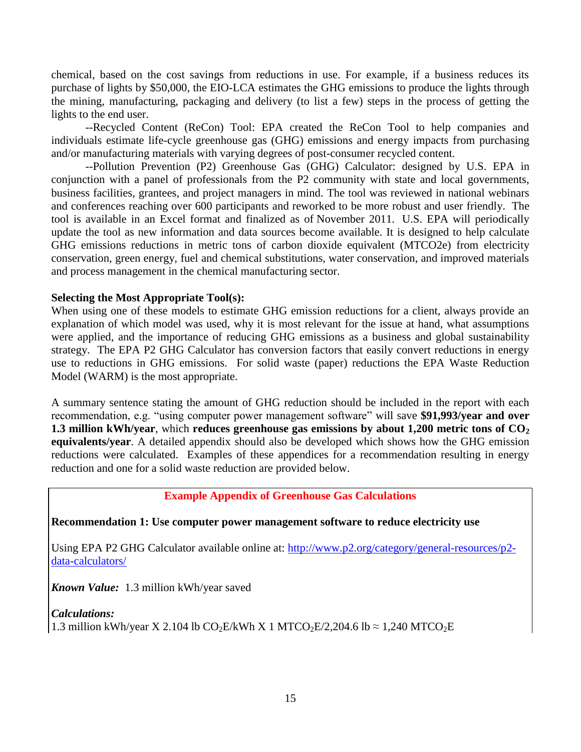chemical, based on the cost savings from reductions in use. For example, if a business reduces its purchase of lights by \$50,000, the EIO-LCA estimates the GHG emissions to produce the lights through the mining, manufacturing, packaging and delivery (to list a few) steps in the process of getting the lights to the end user.

--Recycled Content (ReCon) Tool: EPA created the ReCon Tool to help companies and individuals estimate life-cycle greenhouse gas (GHG) emissions and energy impacts from purchasing and/or manufacturing materials with varying degrees of post-consumer recycled content.

--Pollution Prevention (P2) Greenhouse Gas (GHG) Calculator: designed by U.S. EPA in conjunction with a panel of professionals from the P2 community with state and local governments, business facilities, grantees, and project managers in mind. The tool was reviewed in national webinars and conferences reaching over 600 participants and reworked to be more robust and user friendly. The tool is available in an Excel format and finalized as of November 2011. U.S. EPA will periodically update the tool as new information and data sources become available. It is designed to help calculate GHG emissions reductions in metric tons of carbon dioxide equivalent (MTCO2e) from electricity conservation, green energy, fuel and chemical substitutions, water conservation, and improved materials and process management in the chemical manufacturing sector.

#### **Selecting the Most Appropriate Tool(s):**

When using one of these models to estimate GHG emission reductions for a client, always provide an explanation of which model was used, why it is most relevant for the issue at hand, what assumptions were applied, and the importance of reducing GHG emissions as a business and global sustainability strategy. The EPA P2 GHG Calculator has conversion factors that easily convert reductions in energy use to reductions in GHG emissions. For solid waste (paper) reductions the EPA Waste Reduction Model (WARM) is the most appropriate.

A summary sentence stating the amount of GHG reduction should be included in the report with each recommendation, e.g. "using computer power management software" will save **\$91,993/year and over 1.3 million kWh/year**, which **reduces greenhouse gas emissions by about 1,200 metric tons of CO<sup>2</sup> equivalents/year**. A detailed appendix should also be developed which shows how the GHG emission reductions were calculated. Examples of these appendices for a recommendation resulting in energy reduction and one for a solid waste reduction are provided below.

#### **Example Appendix of Greenhouse Gas Calculations**

#### **Recommendation 1: Use computer power management software to reduce electricity use**

Using EPA P2 GHG Calculator available online at: http://www.p2.org/category/general-resources/p2data-calculators/

*Known Value:* 1.3 million kWh/year saved

## *Calculations:* 1.3 million kWh/year X 2.104 lb CO<sub>2</sub>E/kWh X 1 MTCO<sub>2</sub>E/2,204.6 lb  $\approx$  1,240 MTCO<sub>2</sub>E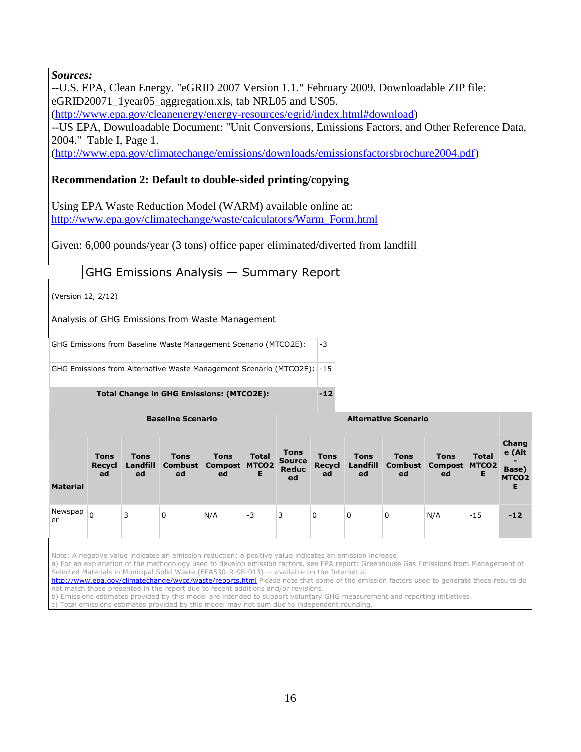*Sources:* 

--U.S. EPA, Clean Energy. "eGRID 2007 Version 1.1." February 2009. Downloadable ZIP file: eGRID20071\_1year05\_aggregation.xls, tab NRL05 and US05.

[\(http://www.epa.gov/cleanenergy/energy-resources/egrid/index.html#download\)](http://www.epa.gov/cleanenergy/energy-resources/egrid/index.html#download)

--US EPA, Downloadable Document: "Unit Conversions, Emissions Factors, and Other Reference Data, 2004." Table I, Page 1.

[\(http://www.epa.gov/climatechange/emissions/downloads/emissionsfactorsbrochure2004.pdf\)](http://www.epa.gov/climatechange/emissions/downloads/emissionsfactorsbrochure2004.pdf)

#### **Recommendation 2: Default to double-sided printing/copying**

Using EPA Waste Reduction Model (WARM) available online at: [http://www.epa.gov/climatechange/waste/calculators/Warm\\_Form.html](http://www.epa.gov/climatechange/waste/calculators/Warm_Form.html)

Given: 6,000 pounds/year (3 tons) office paper eliminated/diverted from landfill

# GHG Emissions Analysis — Summary Report

(Version 12, 2/12)

**Material** 

 $N<sub>0</sub>$ er

Analysis of GHG Emissions from Waste Management

GHG Emissions from Baseline Waste Management Scenario (MTCO2E): |-3

GHG Emissions from Alternative Waste Management Scenario (MTCO2E): -15

Total Change in GHG Emissions: (MTCO2E): 42

|         | <b>Baseline Scenario</b>    |                               |                   |                                                          | <b>Alternative Scenario</b> |                                             |                                    |                               |                   |                                                   |                   |                                                    |
|---------|-----------------------------|-------------------------------|-------------------|----------------------------------------------------------|-----------------------------|---------------------------------------------|------------------------------------|-------------------------------|-------------------|---------------------------------------------------|-------------------|----------------------------------------------------|
| aterial | <b>Tons</b><br>Recycl<br>ed | <b>Tons</b><br>Landfill<br>ed | <b>Tons</b><br>ed | <b>Tons</b><br><b>Combust Compost MTCO2</b><br><b>ed</b> | <b>Total</b><br>Е           | <b>Tons</b><br><b>Source</b><br>Reduc<br>ed | <b>Tons</b><br><b>Recycl</b><br>ed | <b>Tons</b><br>Landfill<br>ed | <b>Tons</b><br>ed | <b>Tons</b><br><b>Combust Compost MTCO2</b><br>ed | <b>Total</b><br>Е | Chang<br>e (Alt<br>Base)<br>MTCO <sub>2</sub><br>E |
| ewspap  | 0                           | 3                             | 0                 | N/A                                                      | -3                          | 3                                           | 0                                  | 0                             | 0                 | N/A                                               | $-15$             | $-12$                                              |

Note: A negative value indicates an emission reduction; a positive value indicates an emission increase.

a) For an explanation of the methodology used to develop emission factors, see EPA report: Greenhouse Gas Emissions from Management of Selected Materials in Municipal Solid Waste (EPA530-R-98-013) — available on the Internet at

<http://www.epa.gov/climatechange/wycd/waste/reports.html> Please note that some of the emission factors used to generate these results do not match those presented in the report due to recent additions and/or revisions.

b) Emissions estimates provided by this model are intended to support voluntary GHG measurement and reporting initiatives.

Total emissions estimates provided by this model may not sum due to independent rounding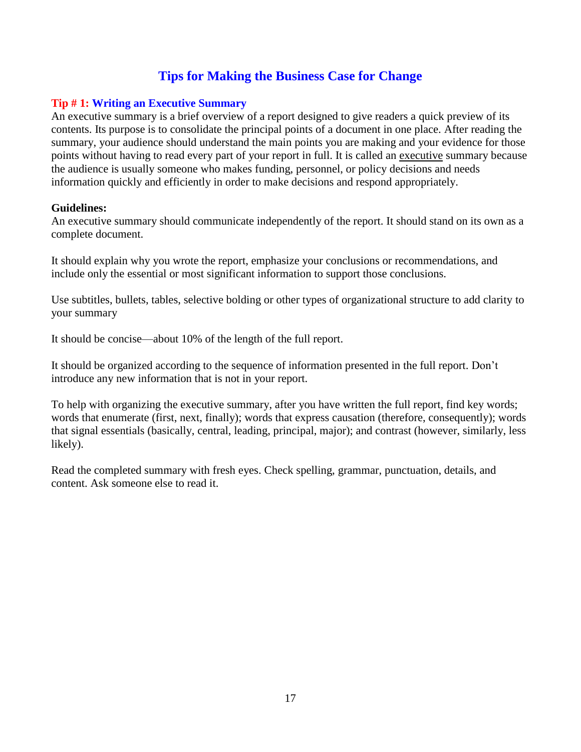# **Tips for Making the Business Case for Change**

#### **Tip # 1: Writing an Executive Summary**

An executive summary is a brief overview of a report designed to give readers a quick preview of its contents. Its purpose is to consolidate the principal points of a document in one place. After reading the summary, your audience should understand the main points you are making and your evidence for those points without having to read every part of your report in full. It is called an executive summary because the audience is usually someone who makes funding, personnel, or policy decisions and needs information quickly and efficiently in order to make decisions and respond appropriately.

#### **Guidelines:**

An executive summary should communicate independently of the report. It should stand on its own as a complete document.

It should explain why you wrote the report, emphasize your conclusions or recommendations, and include only the essential or most significant information to support those conclusions.

Use subtitles, bullets, tables, selective bolding or other types of organizational structure to add clarity to your summary

It should be concise—about 10% of the length of the full report.

It should be organized according to the sequence of information presented in the full report. Don't introduce any new information that is not in your report.

To help with organizing the executive summary, after you have written the full report, find key words; words that enumerate (first, next, finally); words that express causation (therefore, consequently); words that signal essentials (basically, central, leading, principal, major); and contrast (however, similarly, less likely).

Read the completed summary with fresh eyes. Check spelling, grammar, punctuation, details, and content. Ask someone else to read it.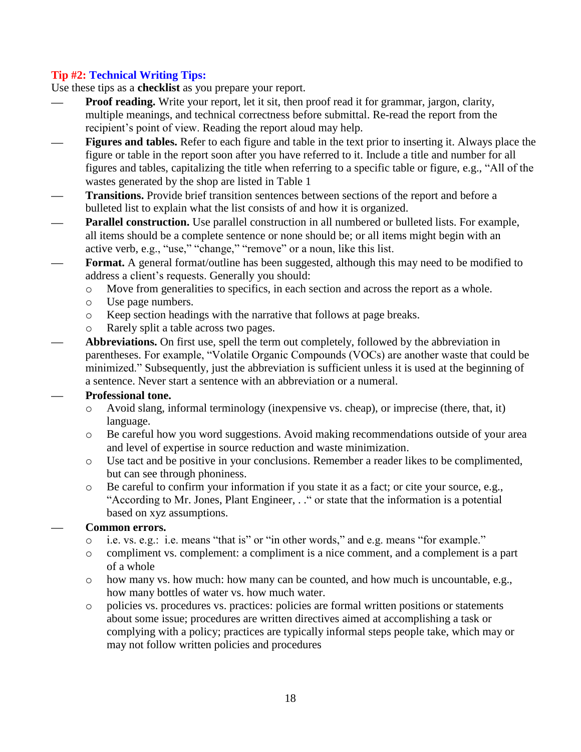# **Tip #2: Technical Writing Tips:**

Use these tips as a **checklist** as you prepare your report.

- **Proof reading.** Write your report, let it sit, then proof read it for grammar, jargon, clarity, multiple meanings, and technical correctness before submittal. Re-read the report from the recipient's point of view. Reading the report aloud may help.
- **Figures and tables.** Refer to each figure and table in the text prior to inserting it. Always place the figure or table in the report soon after you have referred to it. Include a title and number for all figures and tables, capitalizing the title when referring to a specific table or figure, e.g., "All of the wastes generated by the shop are listed in Table 1
- **Transitions.** Provide brief transition sentences between sections of the report and before a bulleted list to explain what the list consists of and how it is organized.
- **Parallel construction.** Use parallel construction in all numbered or bulleted lists. For example, all items should be a complete sentence or none should be; or all items might begin with an active verb, e.g., "use," "change," "remove" or a noun, like this list.
- **Format.** A general format/outline has been suggested, although this may need to be modified to address a client's requests. Generally you should:
	- o Move from generalities to specifics, in each section and across the report as a whole.
	- o Use page numbers.
	- o Keep section headings with the narrative that follows at page breaks.
	- o Rarely split a table across two pages.
- **Abbreviations.** On first use, spell the term out completely, followed by the abbreviation in parentheses. For example, "Volatile Organic Compounds (VOCs) are another waste that could be minimized." Subsequently, just the abbreviation is sufficient unless it is used at the beginning of a sentence. Never start a sentence with an abbreviation or a numeral.

#### **Professional tone.**

- $\circ$  Avoid slang, informal terminology (inexpensive vs. cheap), or imprecise (there, that, it) language.
- o Be careful how you word suggestions. Avoid making recommendations outside of your area and level of expertise in source reduction and waste minimization.
- o Use tact and be positive in your conclusions. Remember a reader likes to be complimented, but can see through phoniness.
- o Be careful to confirm your information if you state it as a fact; or cite your source, e.g., "According to Mr. Jones, Plant Engineer, . ." or state that the information is a potential based on xyz assumptions.

#### **Common errors.**

- o i.e. vs. e.g.: i.e. means "that is" or "in other words," and e.g. means "for example."
- o compliment vs. complement: a compliment is a nice comment, and a complement is a part of a whole
- o how many vs. how much: how many can be counted, and how much is uncountable, e.g., how many bottles of water vs. how much water.
- o policies vs. procedures vs. practices: policies are formal written positions or statements about some issue; procedures are written directives aimed at accomplishing a task or complying with a policy; practices are typically informal steps people take, which may or may not follow written policies and procedures